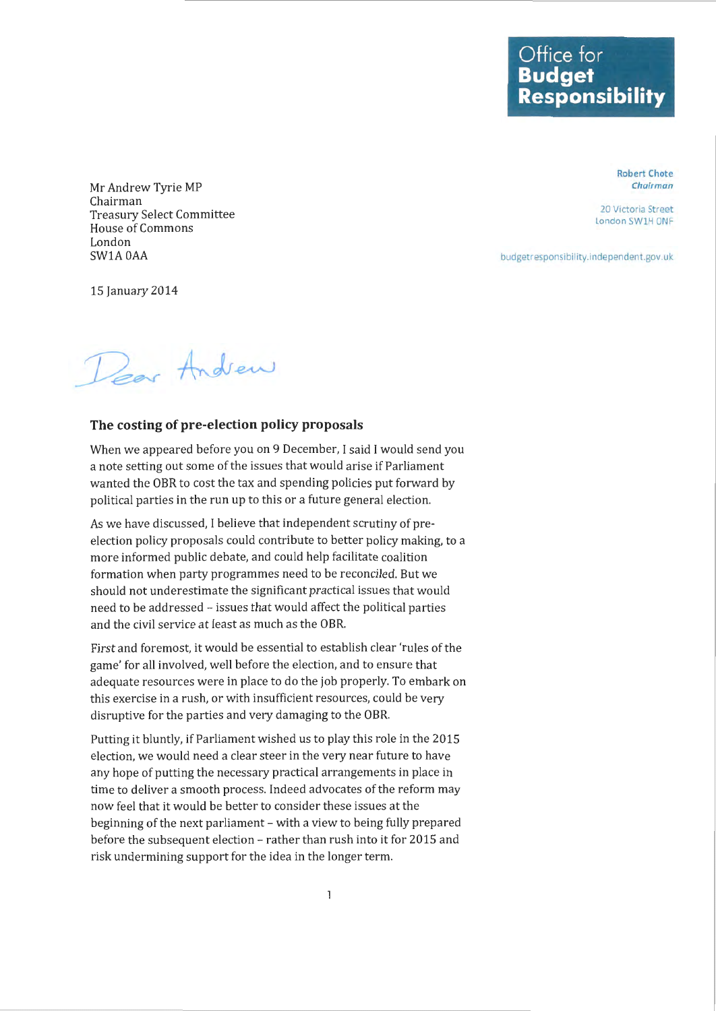**Office for Budget Responsibility** 

> Robert Chote Chairman

20 Victoria Street London SW1H ONF

budgetresponsibility.independent.gov.uk

Mr Andrew Tyrie MP Chairman Treasury Select Committee House of Commons London SW1AOAA

15 January 2014

Pear Andrew

## **The costing of pre-election policy proposals**

When we appeared before you on 9 December, I said I would send you a note setting out some of the issues that would arise if Parliament wanted the OBR to cost the tax and spending policies put forward by political parties in the run up to this or a future general election.

As we have discussed, I believe that independent scrutiny of preelection policy proposals could contribute to better policy making, to a more informed public debate, and could help facilitate coalition formation when party programmes need to be reconciled. But we should not underestimate the significant practical issues that would need to be addressed - issues that would affect the political parties and the civil service at least as much as the OBR.

First and foremost, it would be essential to establish clear 'rules of the game' for all involved, well before the election, and to ensure that adequate resources were in place to do the job properly. To embark on this exercise in a rush, or with insufficient resources, could be very disruptive for the parties and very damaging to the OBR.

Putting it bluntly, if Parliament wished us to play this role in the 2015 election, we would need a clear steer in the very near future to have any hope of putting the necessary practical arrangements in place in time to deliver a smooth process. Indeed advocates of the reform may now feel that it would be better to consider these issues at the beginning of the next parliament- with a view to being fully prepared before the subsequent election- rather than rush into it for 2015 and risk undermining support for the idea in the longer term.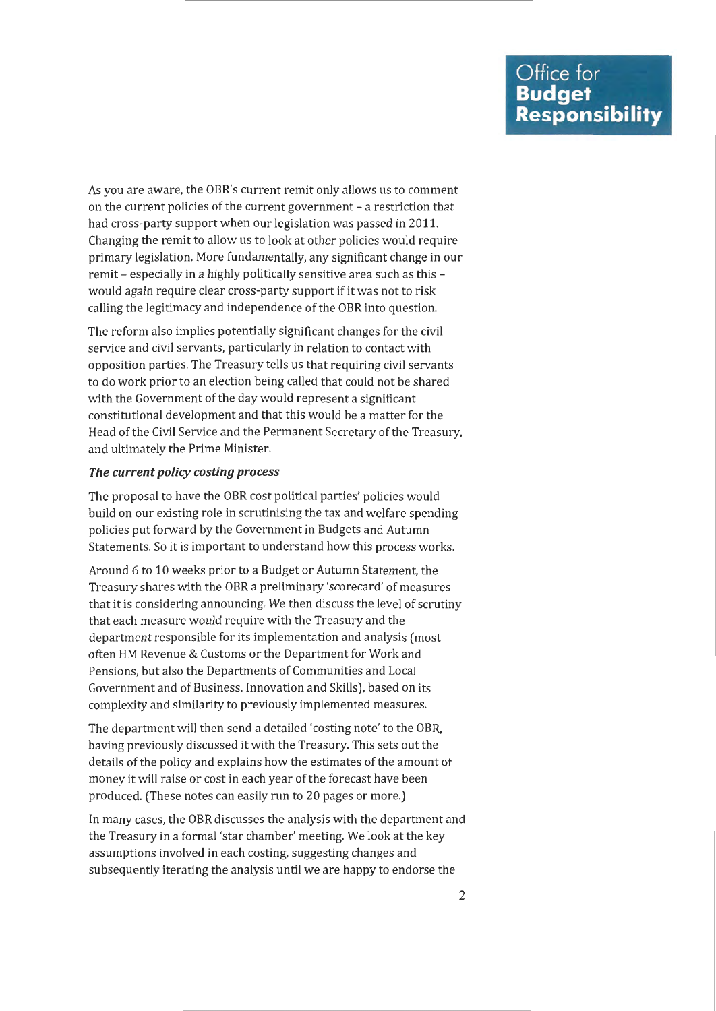As you are aware, the OBR's current remit only allows us to comment on the current policies of the current government - a restriction that had cross-party support when our legislation was passed in 2011. Changing the remit to allow us to look at other policies would require primary legislation. More fundamentally, any significant change in our remit - especially in a highly politically sensitive area such as this would again require clear cross-party support if it was not to risk calling the legitimacy and independence of the OBR into question.

The reform also implies potentially significant changes for the civil service and civil servants, particularly in relation to contact with opposition parties. The Treasury tells us that requiring civil servants to do work prior to an election being called that could not be shared with the Government of the day would represent a significant constitutional development and that this would be a matter for the Head of the Civil Service and the Permanent Secretary of the Treasury, and ultimately the Prime Minister.

## *The current policy costing process*

The proposal to have the OBR cost political parties' policies would build on our existing role in scrutinising the tax and welfare spending policies put forward by the Government in Budgets and Autumn Statements. So it is important to understand how this process works.

Around 6 to 10 weeks prior to a Budget or Autumn Statement, the Treasury shares with the OBR a preliminary 'scorecard' of measures that it is considering announcing. We then discuss the level of scrutiny that each measure would require with the Treasury and the department responsible for its implementation and analysis (most often HM Revenue & Customs or the Department for Work and Pensions, but also the Departments of Communities and Local Government and of Business, Innovation and Skills), based on its complexity and similarity to previously implemented measures.

The department will then send a detailed 'costing note' to the OBR, having previously discussed it with the Treasury. This sets out the details of the policy and explains how the estimates of the amount of money it will raise or cost in each year of the forecast have been produced. (These notes can easily run to 20 pages or more.)

In many cases, the OBR discusses the analysis with the department and the Treasury in a formal 'star chamber' meeting. We look at the key assumptions involved in each costing, suggesting changes and subsequently iterating the analysis until we are happy to endorse the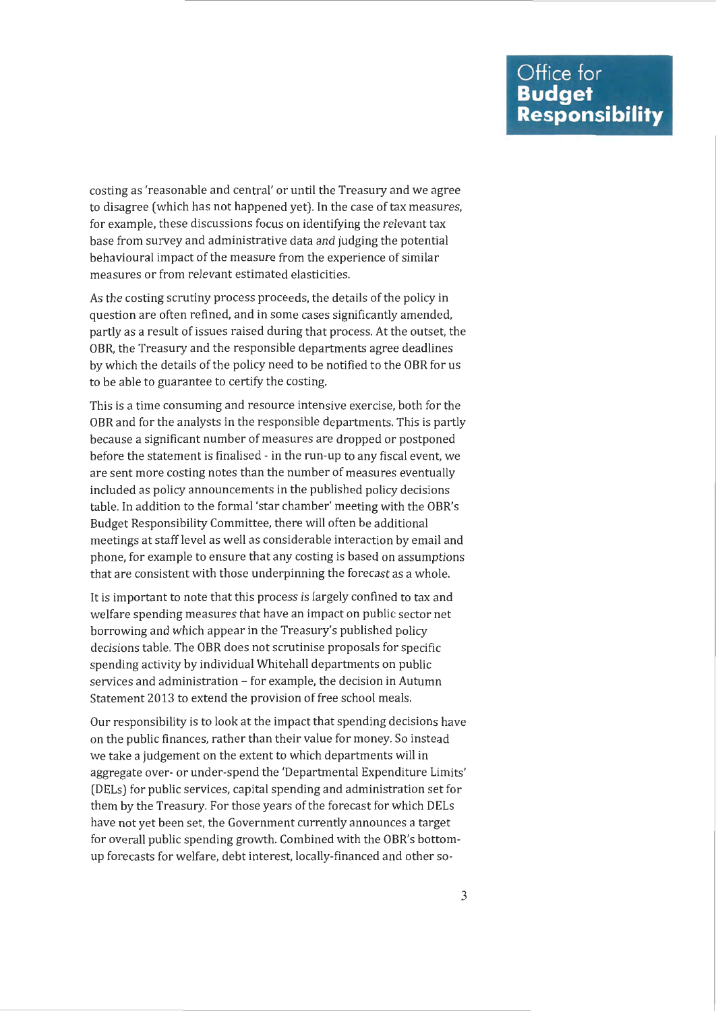costing as 'reasonable and central' or until the Treasury and we agree to disagree (which has not happened yet). In the case of tax measures, for example, these discussions focus on identifying the relevant tax base from survey and administrative data and judging the potential behavioural impact of the measure from the experience of similar measures or from relevant estimated elasticities.

As the costing scrutiny process proceeds, the details of the policy in question are often refined, and in some cases significantly amended, partly as a result of issues raised during that process. At the outset, the OBR, the Treasury and the responsible departments agree deadlines by which the details of the policy need to be notified to the OBR for us to be able to guarantee to certify the costing.

This is a time consuming and resource intensive exercise, both for the OBR and for the analysts in the responsible departments. This is partly because a significant number of measures are dropped or postponed before the statement is finalised- in the run-up to any fiscal event, we are sent more costing notes than the number of measures eventually included as policy announcements in the published policy decisions table. In addition to the formal 'star chamber' meeting with the OBR's Budget Responsibility Committee, there will often be additional meetings at staff level as well as considerable interaction by email and phone, for example to ensure that any costing is based on assumptions that are consistent with those underpinning the forecast as a whole.

It is important to note that this process is largely confined to tax and welfare spending measures that have an impact on public sector net borrowing and which appear in the Treasury's published policy decisions table. The OBR does not scrutinise proposals for specific spending activity by individual Whitehall departments on public services and administration - for example, the decision in Autumn Statement 2013 to extend the provision of free school meals.

Our responsibility is to look at the impact that spending decisions have on the public finances, rather than their value for money. So instead we take a judgement on the extent to which departments will in aggregate over- or under-spend the 'Departmental Expenditure Limits' (DELs) for public services, capital spending and administration set for them by the Treasury. For those years of the forecast for which DELs have not yet been set, the Government currently announces a target for overall public spending growth. Combined with the OBR's bottomup forecasts for welfare, debt interest, locally-financed and other so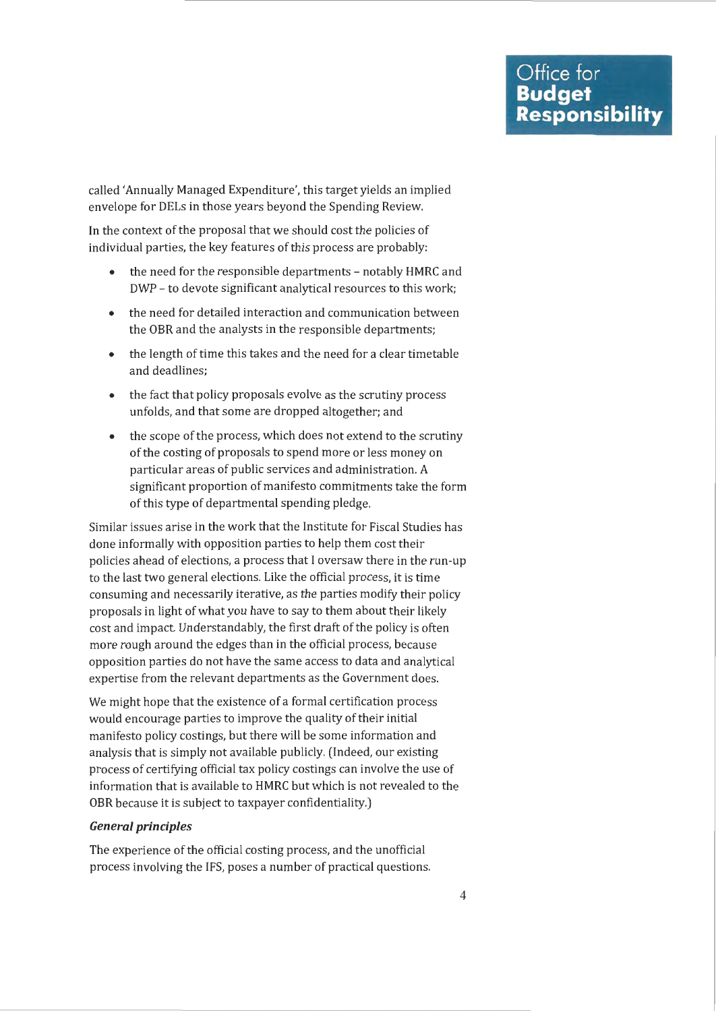called 'Annually Managed Expenditure', this target yields an implied envelope for DELs in those years beyond the Spending Review.

In the context of the proposal that we should cost the policies of individual parties, the key features of this process are probably:

- the need for the responsible departments notably HMRC and DWP - to devote significant analytical resources to this work;
- the need for detailed interaction and communication between the OBR and the analysts in the responsible departments;
- the length of time this takes and the need for a clear timetable and deadlines;
- the fact that policy proposals evolve as the scrutiny process unfolds, and that some are dropped altogether; and
- the scope of the process, which does not extend to the scrutiny of the costing of proposals to spend more or less money on particular areas of public services and administration. *A*  significant proportion of manifesto commitments take the form of this type of departmental spending pledge.

Similar issues arise in the work that the Institute for Fiscal Studies has done informally with opposition parties to help them cost their policies ahead of elections, a process that I oversaw there in the run-up to the last two general elections. Like the official process, it is time consuming and necessarily iterative, as the parties modify their policy proposals in light of what you have to say to them about their likely cost and impact. Understandably, the first draft of the policy is often more rough around the edges than in the official process, because opposition parties do not have the same access to data and analytical expertise from the relevant departments as the Government does.

We might hope that the existence of a formal certification process would encourage parties to improve the quality of their initial manifesto policy castings, but there will be some information and analysis that is simply not available publicly. (Indeed, our existing process of certifying official tax policy castings can involve the use of information that is available to HMRC but which is not revealed to the OBR because it is subject to taxpayer confidentiality.)

## **General principles**

The experience of the official costing process, and the unofficial process involving the IFS, poses a number of practical questions.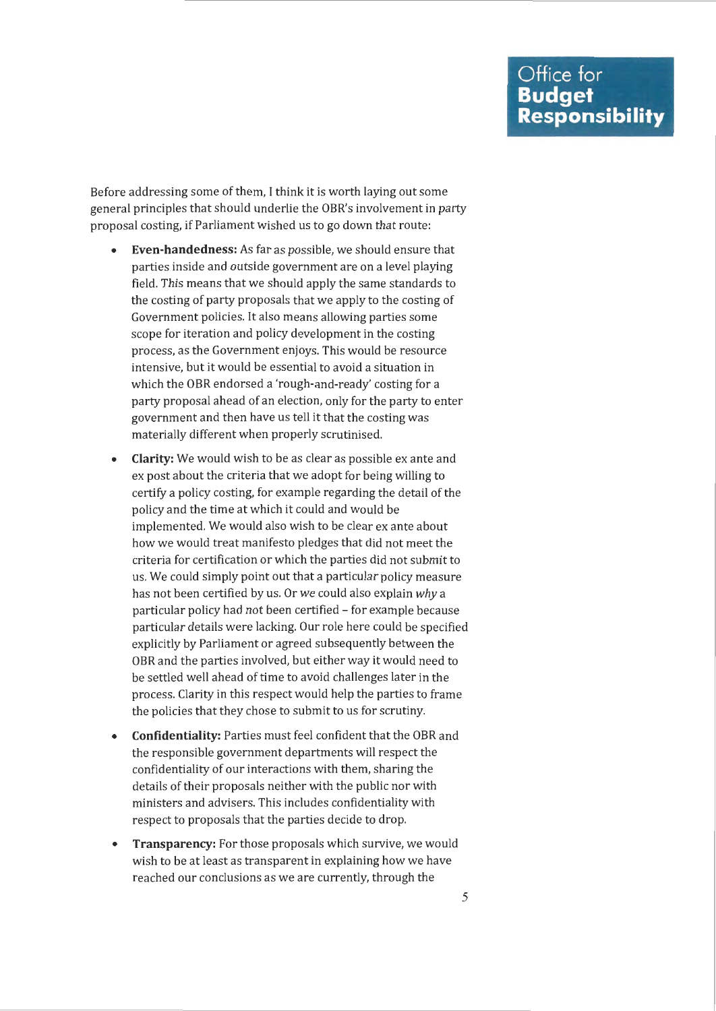Before addressing some of them, I think it is worth laying out some general principles that should underlie the OBR's involvement in party proposal costing, if Parliament wished us to go down that route:

- **Even-handedness:** As far as possible, we should ensure that parties inside and outside government are on a level playing field. This means that we should apply the same standards to the costing of party proposals that we apply to the costing of Government policies. It also means allowing parties some scope for iteration and policy development in the costing process, as the Government enjoys. This would be resource intensive, but it would be essential to avoid a situation in which the OBR endorsed a 'rough-and-ready' costing for a party proposal ahead of an election, only for the party to enter government and then have us tell it that the costing was materially different when properly scrutinised.
- **Clarity:** We would wish to be as clear as possible ex ante and ex post about the criteria that we adopt for being willing to certify a policy costing, for example regarding the detail of the policy and the time at which it could and would be implemented. We would also wish to be clear ex ante about how we would treat manifesto pledges that did not meet the criteria for certification or which the parties did not submit to us. We could simply point out that a particular policy measure has not been certified by us. Or we could also explain *why* a particular policy had not been certified - for example because particular details were lacking. Our role here could be specified explicitly by Parliament or agreed subsequently between the OBR and the parties involved, but either way it would need to be settled well ahead of time to avoid challenges later in the process. Clarity in this respect would help the parties to frame the policies that they chose to submit to us for scrutiny.
- **Confidentiality:** Parties must feel confident that the OBR and the responsible government departments will respect the confidentiality of our interactions with them, sharing the details of their proposals neither with the public nor with ministers and advisers. This includes confidentiality with respect to proposals that the parties decide to drop.
- **Transparency:** For those proposals which survive, we would wish to be at least as transparent in explaining how we have reached our conclusions as we are currently, through the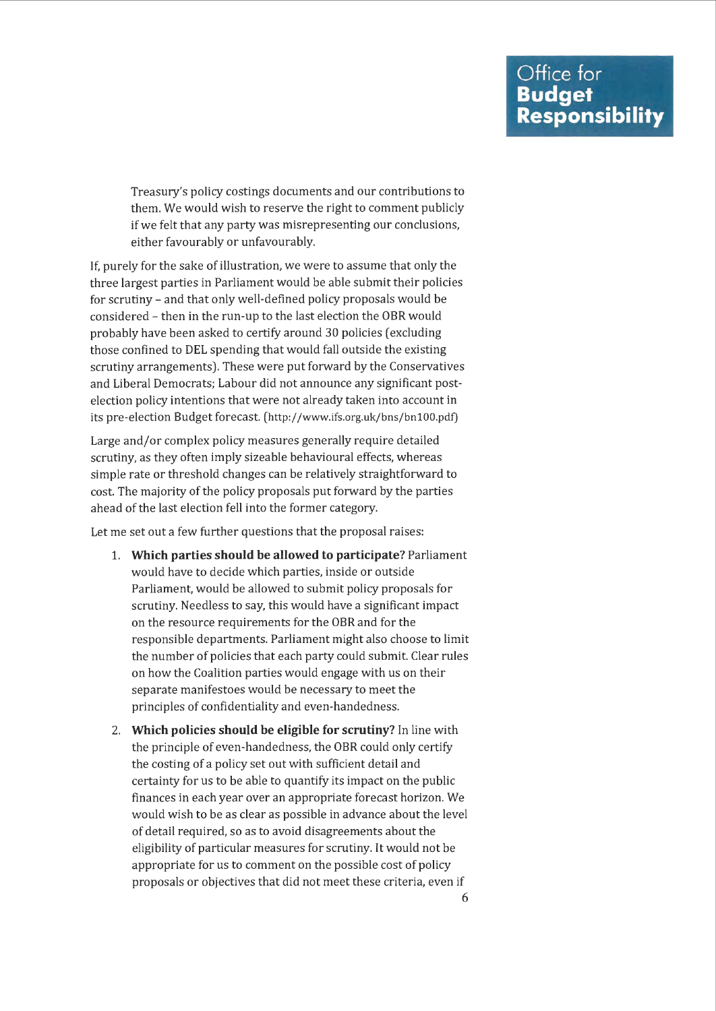Treasury's policy costings documents and our contributions to them. We would wish to reserve the right to comment publicly if we felt that any party was misrepresenting our conclusions, either favourably or unfavourably.

If, purely for the sake of illustration, we were to assume that only the three largest parties in Parliament would be able submit their policies for scrutiny - and that only well-defined policy proposals would be considered - then in the run-up to the last election the OBR would probably have been asked to certify around 30 policies (excluding those confined to DEL spending that would fall outside the existing scrutiny arrangements). These were put forward by the Conservatives and Liberal Democrats; Labour did not announce any significant postelection policy intentions that were not already taken into account in its pre-election Budget forecast. (http://www.ifs.org.uk/bns/bn100.pdf)

Large and/or complex policy measures generally require detailed scrutiny, as they often imply sizeable behavioural effects, whereas simple rate or threshold changes can be relatively straightforward to cost. The majority of the policy proposals put forward by the parties ahead of the last election fell into the former category.

Let me set out a few further questions that the proposal raises:

- 1. **Which parties should be allowed to participate?** Parliament would have to decide which parties, inside or outside Parliament, would be allowed to submit policy proposals for scrutiny. Needless to say, this would have a significant impact on the resource requirements for the OBR and for the responsible departments. Parliament might also choose to limit the number of policies that each party could submit. Clear rules on how the Coalition parties would engage with us on their separate manifestoes would be necessary to meet the principles of confidentiality and even-handedness.
- 2. **Which policies should be eligible for scrutiny?** In line with the principle of even-handedness, the OBR could only certify the costing of a policy set out with sufficient detail and certainty for us to be able to quantify its impact on the public finances in each year over an appropriate forecast horizon. We would wish to be as clear as possible in advance about the level of detail required, so as to avoid disagreements about the eligibility of particular measures for scrutiny. It would not be appropriate for us to comment on the possible cost of policy proposals or objectives that did not meet these criteria, even if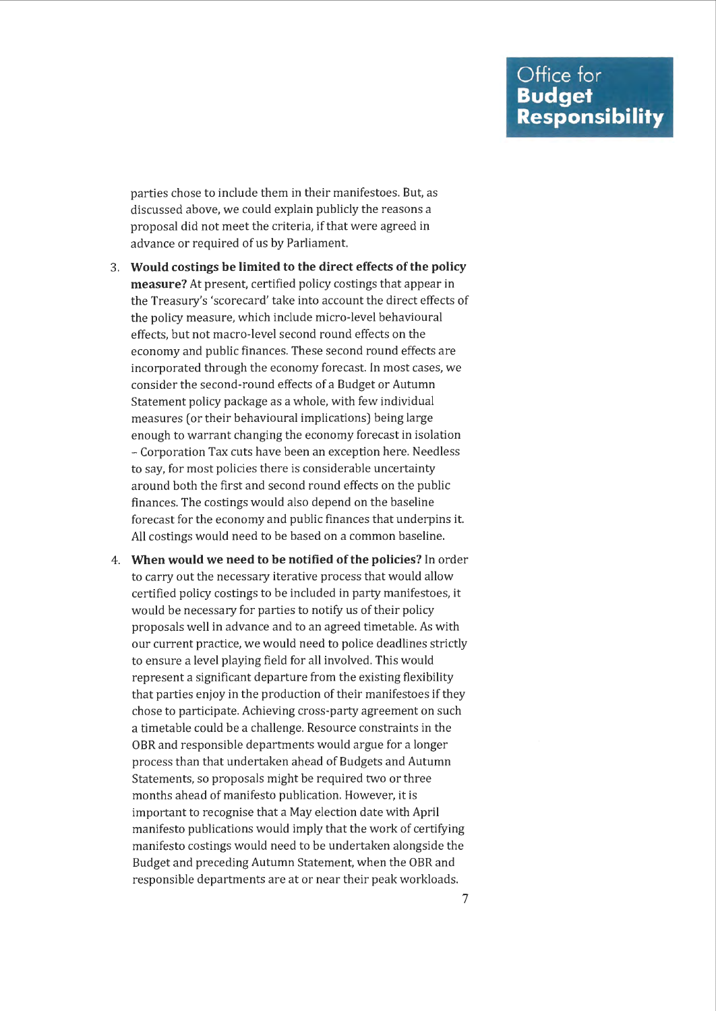parties chose to include them in their manifestoes. But, as discussed above, we could explain publicly the reasons a proposal did not meet the criteria, if that were agreed in advance or required of us by Parliament.

- 3. **Would costings be limited to the direct effects of the policy measure?** At present, certified policy costings that appear in the Treasury's 'scorecard' take into account the direct effects of the policy measure, which include micro-level behavioural effects, but not macro-level second round effects on the economy and public finances. These second round effects are incorporated through the economy forecast. In most cases, we consider the second-round effects of a Budget or Autumn Statement policy package as a whole, with few individual measures (or their behavioural implications) being large enough to warrant changing the economy forecast in isolation - Corporation Tax cuts have been an exception here. Needless to say, for most policies there is considerable uncertainty around both the first and second round effects on the public finances. The costings would also depend on the baseline forecast for the economy and public finances that underpins it. All costings would need to be based on a common baseline.
- 4. **When would we need to be notified of the policies?** In order to carry out the necessary iterative process that would allow certified policy castings to be included in party manifestoes, it would be necessary for parties to notify us of their policy proposals well in advance and to an agreed timetable. As with our current practice, we would need to police deadlines strictly to ensure a level playing field for all involved. This would represent a significant departure from the existing flexibility that parties enjoy in the production of their manifestoes if they chose to participate. Achieving cross-party agreement on such a timetable could be a challenge. Resource constraints in the OBR and responsible departments would argue for a longer process than that undertaken ahead of Budgets and Autumn Statements, so proposals might be required two or three months ahead of manifesto publication. However, it is important to recognise that a May election date with April manifesto publications would imply that the work of certifying manifesto costings would need to be undertaken alongside the Budget and preceding Autumn Statement, when the OBR and responsible departments are at or near their peak workloads.

7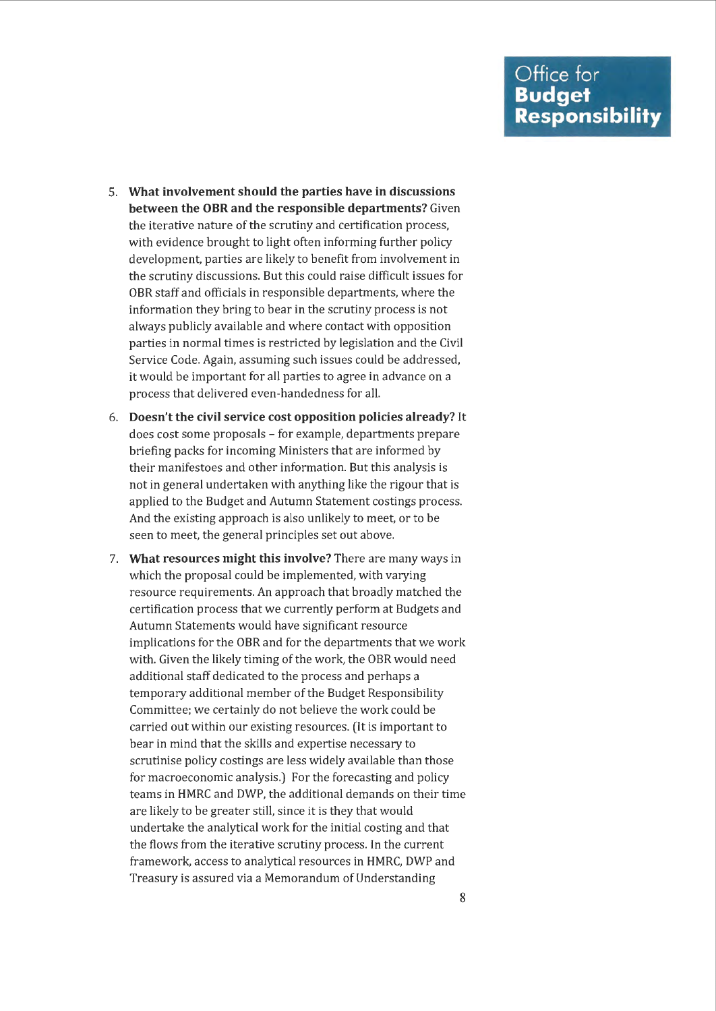- 5. **What involvement should the parties have in discussions between the OBR and the responsible departments?** Given the iterative nature of the scrutiny and certification process, with evidence brought to light often informing further policy development, parties are likely to benefit from involvement in the scrutiny discussions. But this could raise difficult issues for OBR staff and officials in responsible departments, where the information they bring to bear in the scrutiny process is not always publicly available and where contact with opposition parties in normal times is restricted by legislation and the Civil Service Code. Again, assuming such issues could be addressed, it would be important for all parties to agree in advance on a process that delivered even-handedness for all.
- 6. **Doesn't the civil service cost opposition policies already?** It does cost some proposals - for example, departments prepare briefing packs for incoming Ministers that are informed by their manifestoes and other information. But this analysis is not in general undertaken with anything like the rigour that is applied to the Budget and Autumn Statement costings process. And the existing approach is also unlikely to meet, or to be seen to meet, the general principles set out above.
- 7. **What resources might this involve?** There are many ways in which the proposal could be implemented, with varying resource requirements. An approach that broadly matched the certification process that we currently perform at Budgets and Autumn Statements would have significant resource implications for the OBR and for the departments that we work with. Given the likely timing of the work, the OBR would need additional staff dedicated to the process and perhaps a temporary additional member of the Budget Responsibility Committee; we certainly do not believe the work could be carried out within our existing resources. (It is important to bear in mind that the skills and expertise necessary to scrutinise policy costings are less widely available than those for macroeconomic analysis.) For the forecasting and policy teams in HMRC and DWP, the additional demands on their time are likely to be greater still, since it is they that would undertake the analytical work for the initial costing and that the flows from the iterative scrutiny process. In the current framework, access to analytical resources in HMRC, DWP and Treasury is assured via a Memorandum of Understanding